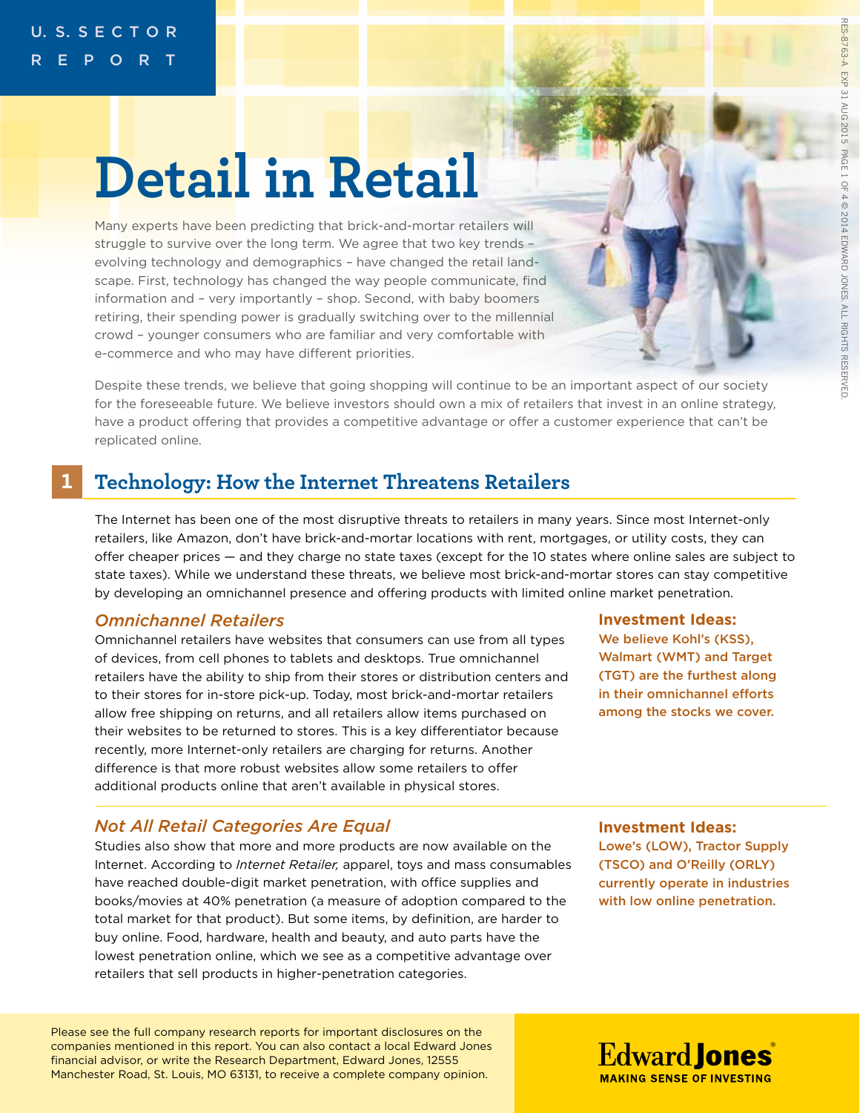# **Detail in Retail**

Many experts have been predicting that brick-and-mortar retailers will struggle to survive over the long term. We agree that two key trends – evolving technology and demographics – have changed the retail landscape. First, technology has changed the way people communicate, find information and – very importantly – shop. Second, with baby boomers retiring, their spending power is gradually switching over to the millennial crowd – younger consumers who are familiar and very comfortable with e-commerce and who may have different priorities.

Despite these trends, we believe that going shopping will continue to be an important aspect of our society for the foreseeable future. We believe investors should own a mix of retailers that invest in an online strategy, have a product offering that provides a competitive advantage or offer a customer experience that can't be replicated online.

#### **1 Technology: How the Internet Threatens Retailers**

The Internet has been one of the most disruptive threats to retailers in many years. Since most Internet-only retailers, like Amazon, don't have brick-and-mortar locations with rent, mortgages, or utility costs, they can offer cheaper prices — and they charge no state taxes (except for the 10 states where online sales are subject to state taxes). While we understand these threats, we believe most brick-and-mortar stores can stay competitive by developing an omnichannel presence and offering products with limited online market penetration.

## *Omnichannel Retailers*

Omnichannel retailers have websites that consumers can use from all types of devices, from cell phones to tablets and desktops. True omnichannel retailers have the ability to ship from their stores or distribution centers and to their stores for in-store pick-up. Today, most brick-and-mortar retailers allow free shipping on returns, and all retailers allow items purchased on their websites to be returned to stores. This is a key differentiator because recently, more Internet-only retailers are charging for returns. Another difference is that more robust websites allow some retailers to offer additional products online that aren't available in physical stores.

# *Not All Retail Categories Are Equal*

Studies also show that more and more products are now available on the Internet. According to *Internet Retailer,* apparel, toys and mass consumables have reached double-digit market penetration, with office supplies and books/movies at 40% penetration (a measure of adoption compared to the total market for that product). But some items, by definition, are harder to buy online. Food, hardware, health and beauty, and auto parts have the lowest penetration online, which we see as a competitive advantage over retailers that sell products in higher-penetration categories.

Please see the full company research reports for important disclosures on the companies mentioned in this report. You can also contact a local Edward Jones financial advisor, or write the Research Department, Edward Jones, 12555 Manchester Road, St. Louis, MO 63131, to receive a complete company opinion.

#### **Investment Ideas:**

We believe Kohl's (KSS), Walmart (WMT) and Target (TGT) are the furthest along in their omnichannel efforts among the stocks we cover.

**Investment Ideas:** Lowe's (LOW), Tractor Supply

(TSCO) and O'Reilly (ORLY) currently operate in industries with low online penetration.

**Edward Jones MAKING SENSE OF INVESTING**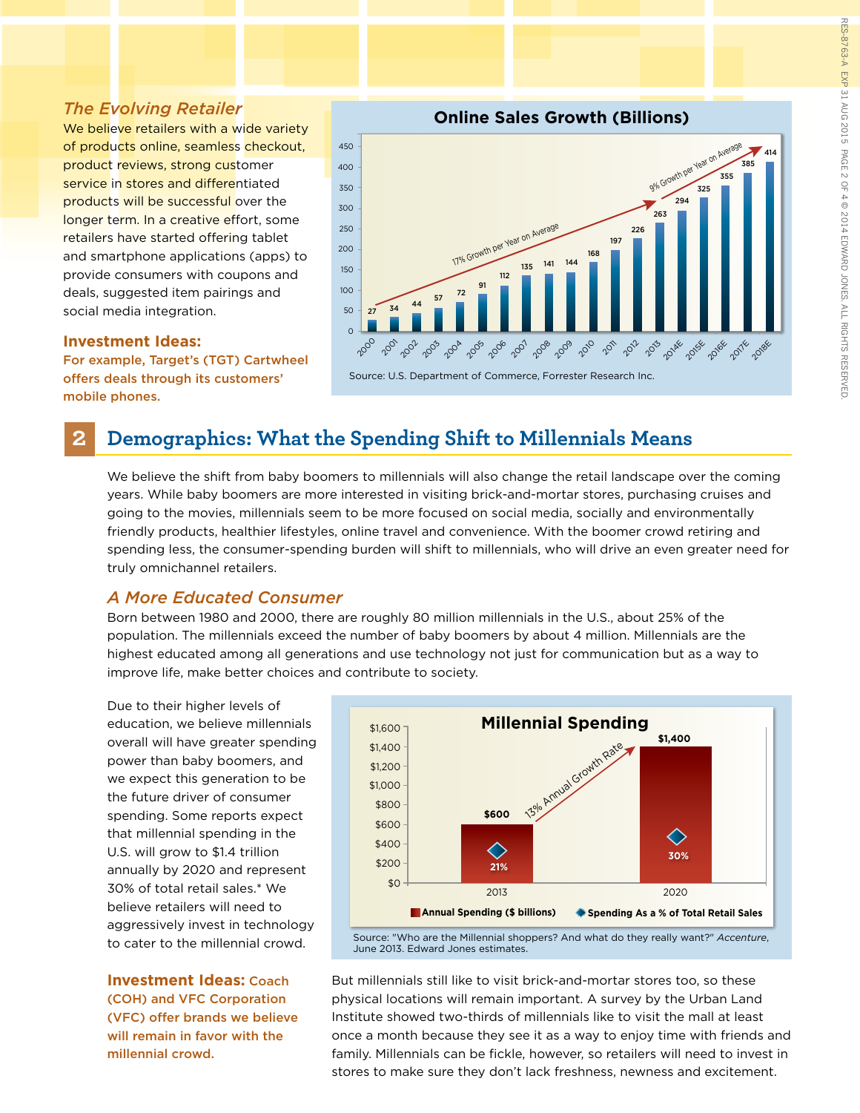#### *The Evolving Retailer*

We believe retailers with a wide variety of products online, seamless checkout, product reviews, strong customer service in stores and differentiated products will be successful over the longer term. In a creative effort, some retailers have started offering tablet and smartphone applications (apps) to provide consumers with coupons and deals, suggested item pairings and social media integration.

#### 450 400 350 300 250 200 150 100 50  $\overline{0}$ 200 201 20<sup>02</sup>203 20<sup>04</sup> 2095 2006 2007 20<sup>0</sup> 200 201 201 2012 2018 **2015E** 2016F 2011 2018E 17% Growth per Year on Average 9% Growth per Year on Average  $27 \t34 \t44 \t57 \t72 \t91$ 112 168 197 226 263 294 355 385 414 Source: U.S. Department of Commerce, Forrester Research Inc. **Online Sales Growth (Billions)**

#### **Investment Ideas:**

For example, Target's (TGT) Cartwheel offers deals through its customers' mobile phones.

# **2 Demographics: What the Spending Shift to Millennials Means**

We believe the shift from baby boomers to millennials will also change the retail landscape over the coming years. While baby boomers are more interested in visiting brick-and-mortar stores, purchasing cruises and going to the movies, millennials seem to be more focused on social media, socially and environmentally friendly products, healthier lifestyles, online travel and convenience. With the boomer crowd retiring and spending less, the consumer-spending burden will shift to millennials, who will drive an even greater need for truly omnichannel retailers.

#### *A More Educated Consumer*

Born between 1980 and 2000, there are roughly 80 million millennials in the U.S., about 25% of the population. The millennials exceed the number of baby boomers by about 4 million. Millennials are the highest educated among all generations and use technology not just for communication but as a way to improve life, make better choices and contribute to society.

Due to their higher levels of education, we believe millennials overall will have greater spending power than baby boomers, and we expect this generation to be the future driver of consumer spending. Some reports expect that millennial spending in the U.S. will grow to \$1.4 trillion annually by 2020 and represent 30% of total retail sales.\* We believe retailers will need to aggressively invest in technology to cater to the millennial crowd.

**Investment Ideas:** Coach (COH) and VFC Corporation (VFC) offer brands we believe will remain in favor with the millennial crowd.



Source: "Who are the Millennial shoppers? And what do they really want?" *Accenture*, June 2013. Edward Jones estimates.

But millennials still like to visit brick-and-mortar stores too, so these physical locations will remain important. A survey by the Urban Land Institute showed two-thirds of millennials like to visit the mall at least once a month because they see it as a way to enjoy time with friends and family. Millennials can be fickle, however, so retailers will need to invest in stores to make sure they don't lack freshness, newness and excitement.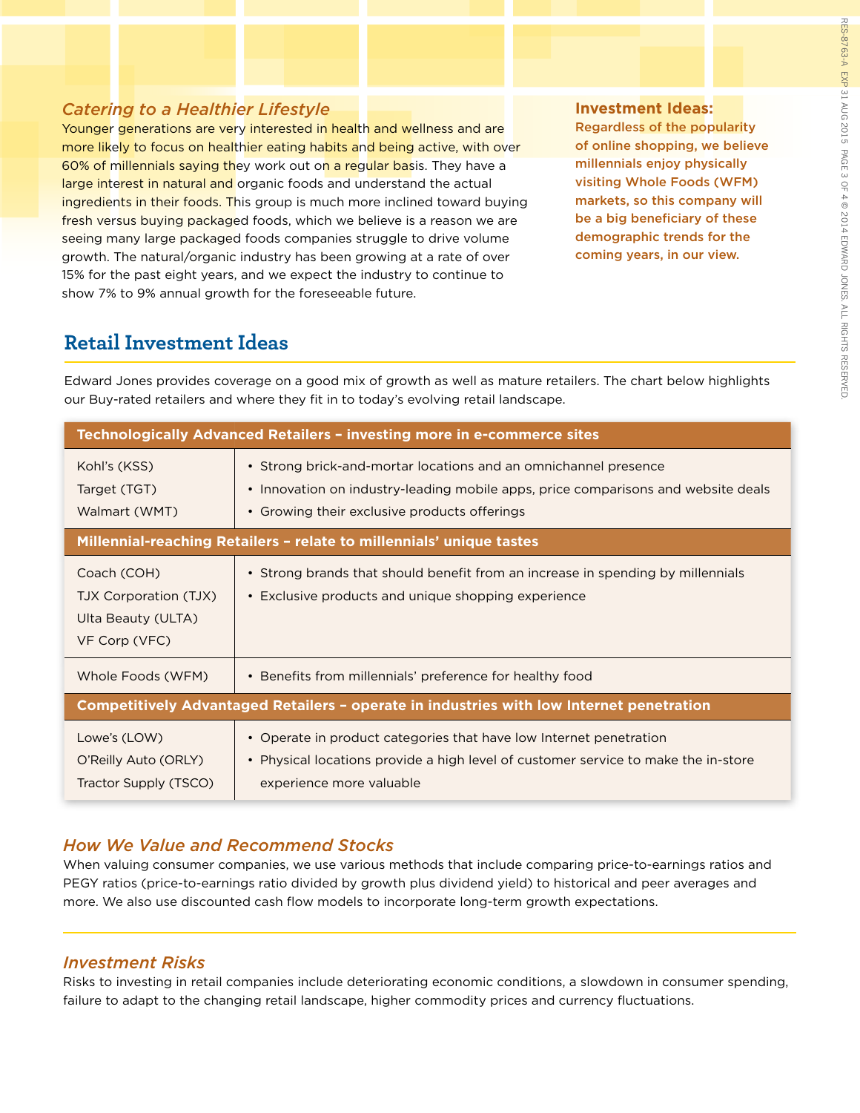## *Catering to a Healthier Lifestyle*

Younger generations are very interested in health and wellness and are more likely to focus on healthier eating habits and being active, with over 60% of millennials saying they work out on a regular basis. They have a large interest in natural and organic foods and understand the actual ingredients in their foods. This group is much more inclined toward buying fresh versus buying packaged foods, which we believe is a reason we are seeing many large packaged foods companies struggle to drive volume growth. The natural/organic industry has been growing at a rate of over 15% for the past eight years, and we expect the industry to continue to show 7% to 9% annual growth for the foreseeable future.

#### **Investment Ideas:**

Regardless of the popularity of online shopping, we believe millennials enjoy physically visiting Whole Foods (WFM) markets, so this company will be a big beneficiary of these demographic trends for the coming years, in our view.

# **Retail Investment Ideas**

Edward Jones provides coverage on a good mix of growth as well as mature retailers. The chart below highlights our Buy-rated retailers and where they fit in to today's evolving retail landscape.

| Technologically Advanced Retailers - investing more in e-commerce sites                  |                                                                                                                                                                                                      |
|------------------------------------------------------------------------------------------|------------------------------------------------------------------------------------------------------------------------------------------------------------------------------------------------------|
| Kohl's (KSS)<br>Target (TGT)<br>Walmart (WMT)                                            | • Strong brick-and-mortar locations and an omnichannel presence<br>• Innovation on industry-leading mobile apps, price comparisons and website deals<br>• Growing their exclusive products offerings |
| Millennial-reaching Retailers - relate to millennials' unique tastes                     |                                                                                                                                                                                                      |
| Coach (COH)<br>TJX Corporation (TJX)<br>Ulta Beauty (ULTA)<br>VF Corp (VFC)              | • Strong brands that should benefit from an increase in spending by millennials<br>• Exclusive products and unique shopping experience                                                               |
| Whole Foods (WFM)                                                                        | • Benefits from millennials' preference for healthy food                                                                                                                                             |
| Competitively Advantaged Retailers - operate in industries with low Internet penetration |                                                                                                                                                                                                      |
| Lowe's (LOW)<br>O'Reilly Auto (ORLY)<br>Tractor Supply (TSCO)                            | • Operate in product categories that have low Internet penetration<br>• Physical locations provide a high level of customer service to make the in-store<br>experience more valuable                 |

## *How We Value and Recommend Stocks*

When valuing consumer companies, we use various methods that include comparing price-to-earnings ratios and PEGY ratios (price-to-earnings ratio divided by growth plus dividend yield) to historical and peer averages and more. We also use discounted cash flow models to incorporate long-term growth expectations.

## *Investment Risks*

Risks to investing in retail companies include deteriorating economic conditions, a slowdown in consumer spending, failure to adapt to the changing retail landscape, higher commodity prices and currency fluctuations.